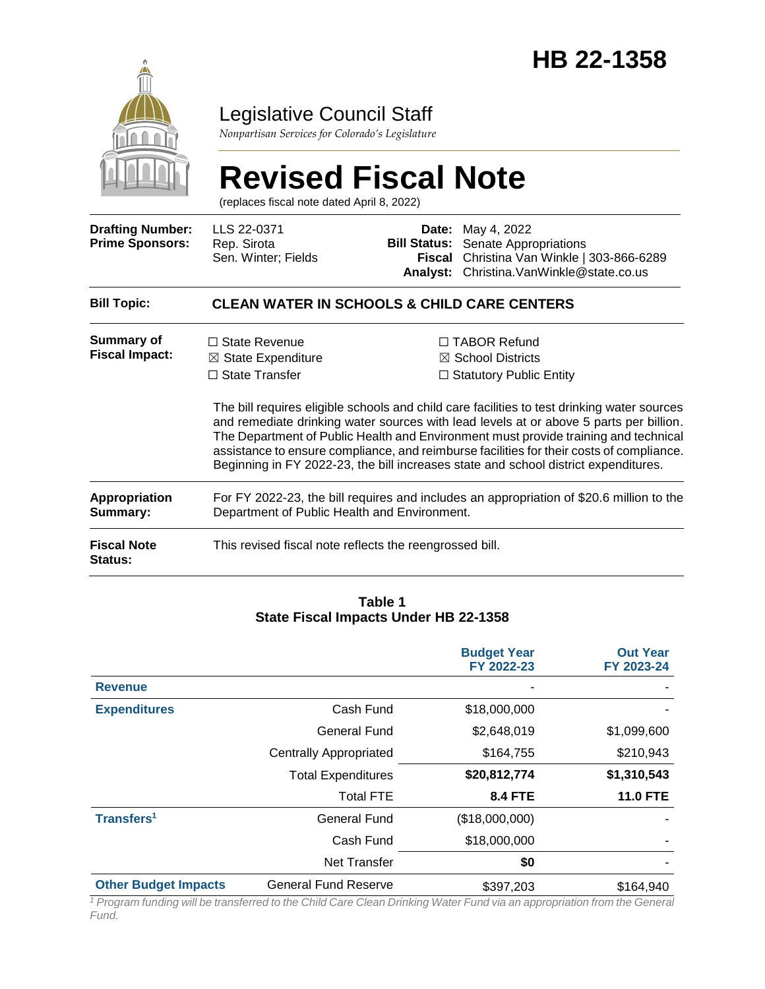

# Legislative Council Staff

*Nonpartisan Services for Colorado's Legislature*

# **Revised Fiscal Note**

(replaces fiscal note dated April 8, 2022)

| <b>Drafting Number:</b><br><b>Prime Sponsors:</b> | LLS 22-0371<br>Rep. Sirota<br>Sen. Winter; Fields                                                                                        | Date:<br><b>Bill Status:</b><br>Fiscal<br><b>Analyst:</b> | May 4, 2022<br>Senate Appropriations<br>Christina Van Winkle   303-866-6289<br>Christina.VanWinkle@state.co.us                                                                                                                                                                                                                                                                                                                                                                                                                                           |  |  |  |
|---------------------------------------------------|------------------------------------------------------------------------------------------------------------------------------------------|-----------------------------------------------------------|----------------------------------------------------------------------------------------------------------------------------------------------------------------------------------------------------------------------------------------------------------------------------------------------------------------------------------------------------------------------------------------------------------------------------------------------------------------------------------------------------------------------------------------------------------|--|--|--|
| <b>Bill Topic:</b>                                | <b>CLEAN WATER IN SCHOOLS &amp; CHILD CARE CENTERS</b>                                                                                   |                                                           |                                                                                                                                                                                                                                                                                                                                                                                                                                                                                                                                                          |  |  |  |
| <b>Summary of</b><br><b>Fiscal Impact:</b>        | $\Box$ State Revenue<br>$\boxtimes$ State Expenditure<br>$\Box$ State Transfer                                                           |                                                           | $\Box$ TABOR Refund<br>$\boxtimes$ School Districts<br>$\Box$ Statutory Public Entity<br>The bill requires eligible schools and child care facilities to test drinking water sources<br>and remediate drinking water sources with lead levels at or above 5 parts per billion.<br>The Department of Public Health and Environment must provide training and technical<br>assistance to ensure compliance, and reimburse facilities for their costs of compliance.<br>Beginning in FY 2022-23, the bill increases state and school district expenditures. |  |  |  |
| <b>Appropriation</b><br><b>Summary:</b>           | For FY 2022-23, the bill requires and includes an appropriation of \$20.6 million to the<br>Department of Public Health and Environment. |                                                           |                                                                                                                                                                                                                                                                                                                                                                                                                                                                                                                                                          |  |  |  |
| <b>Fiscal Note</b><br>Status:                     | This revised fiscal note reflects the reengrossed bill.                                                                                  |                                                           |                                                                                                                                                                                                                                                                                                                                                                                                                                                                                                                                                          |  |  |  |

#### **Table 1 State Fiscal Impacts Under HB 22-1358**

|                             |                               | <b>Budget Year</b><br>FY 2022-23 | <b>Out Year</b><br>FY 2023-24 |
|-----------------------------|-------------------------------|----------------------------------|-------------------------------|
| <b>Revenue</b>              |                               |                                  |                               |
| <b>Expenditures</b>         | Cash Fund                     | \$18,000,000                     |                               |
|                             | <b>General Fund</b>           | \$2,648,019                      | \$1,099,600                   |
|                             | <b>Centrally Appropriated</b> | \$164,755                        | \$210,943                     |
|                             | <b>Total Expenditures</b>     | \$20,812,774                     | \$1,310,543                   |
|                             | <b>Total FTE</b>              | <b>8.4 FTE</b>                   | <b>11.0 FTE</b>               |
| Transfers <sup>1</sup>      | <b>General Fund</b>           | (\$18,000,000)                   |                               |
|                             | Cash Fund                     | \$18,000,000                     |                               |
|                             | Net Transfer                  | \$0                              |                               |
| <b>Other Budget Impacts</b> | <b>General Fund Reserve</b>   | \$397,203                        | \$164,940                     |

*<sup>1</sup> Program funding will be transferred to the Child Care Clean Drinking Water Fund via an appropriation from the General Fund.*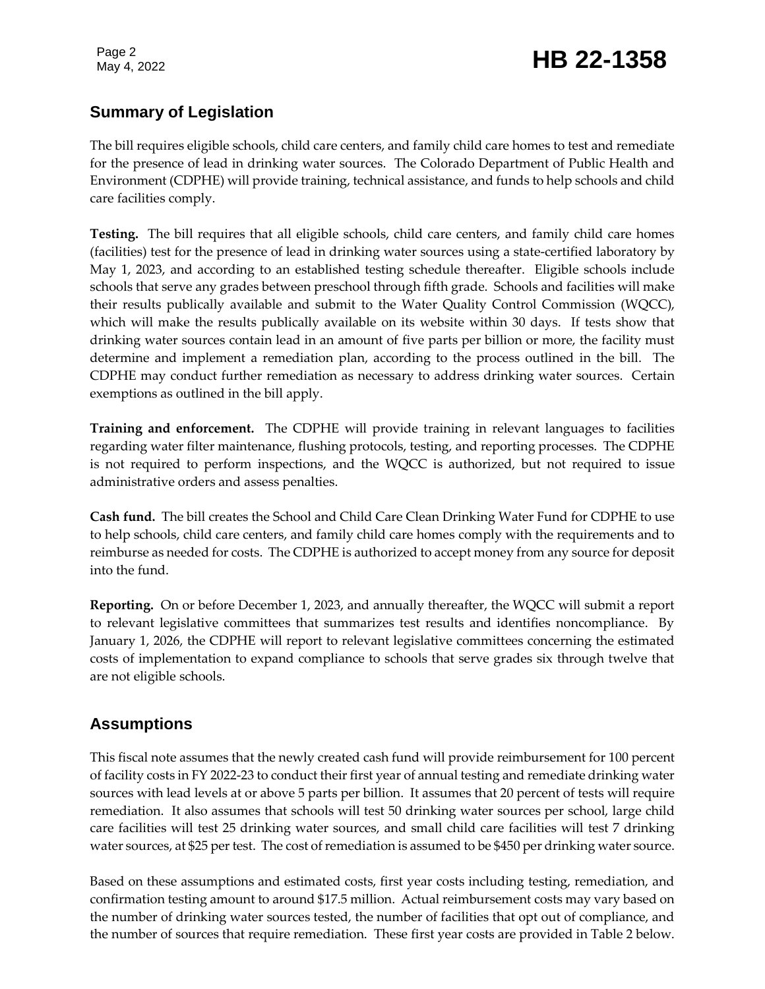Page 2

# Page 2<br>May 4, 2022 **HB 22-1358**

### **Summary of Legislation**

The bill requires eligible schools, child care centers, and family child care homes to test and remediate for the presence of lead in drinking water sources. The Colorado Department of Public Health and Environment (CDPHE) will provide training, technical assistance, and funds to help schools and child care facilities comply.

**Testing.** The bill requires that all eligible schools, child care centers, and family child care homes (facilities) test for the presence of lead in drinking water sources using a state-certified laboratory by May 1, 2023, and according to an established testing schedule thereafter. Eligible schools include schools that serve any grades between preschool through fifth grade. Schools and facilities will make their results publically available and submit to the Water Quality Control Commission (WQCC), which will make the results publically available on its website within 30 days. If tests show that drinking water sources contain lead in an amount of five parts per billion or more, the facility must determine and implement a remediation plan, according to the process outlined in the bill. The CDPHE may conduct further remediation as necessary to address drinking water sources. Certain exemptions as outlined in the bill apply.

**Training and enforcement.** The CDPHE will provide training in relevant languages to facilities regarding water filter maintenance, flushing protocols, testing, and reporting processes. The CDPHE is not required to perform inspections, and the WQCC is authorized, but not required to issue administrative orders and assess penalties.

**Cash fund.** The bill creates the School and Child Care Clean Drinking Water Fund for CDPHE to use to help schools, child care centers, and family child care homes comply with the requirements and to reimburse as needed for costs. The CDPHE is authorized to accept money from any source for deposit into the fund.

**Reporting.** On or before December 1, 2023, and annually thereafter, the WQCC will submit a report to relevant legislative committees that summarizes test results and identifies noncompliance. By January 1, 2026, the CDPHE will report to relevant legislative committees concerning the estimated costs of implementation to expand compliance to schools that serve grades six through twelve that are not eligible schools.

### **Assumptions**

This fiscal note assumes that the newly created cash fund will provide reimbursement for 100 percent of facility costs in FY 2022-23 to conduct their first year of annual testing and remediate drinking water sources with lead levels at or above 5 parts per billion. It assumes that 20 percent of tests will require remediation. It also assumes that schools will test 50 drinking water sources per school, large child care facilities will test 25 drinking water sources, and small child care facilities will test 7 drinking water sources, at \$25 per test. The cost of remediation is assumed to be \$450 per drinking water source.

Based on these assumptions and estimated costs, first year costs including testing, remediation, and confirmation testing amount to around \$17.5 million. Actual reimbursement costs may vary based on the number of drinking water sources tested, the number of facilities that opt out of compliance, and the number of sources that require remediation. These first year costs are provided in Table 2 below.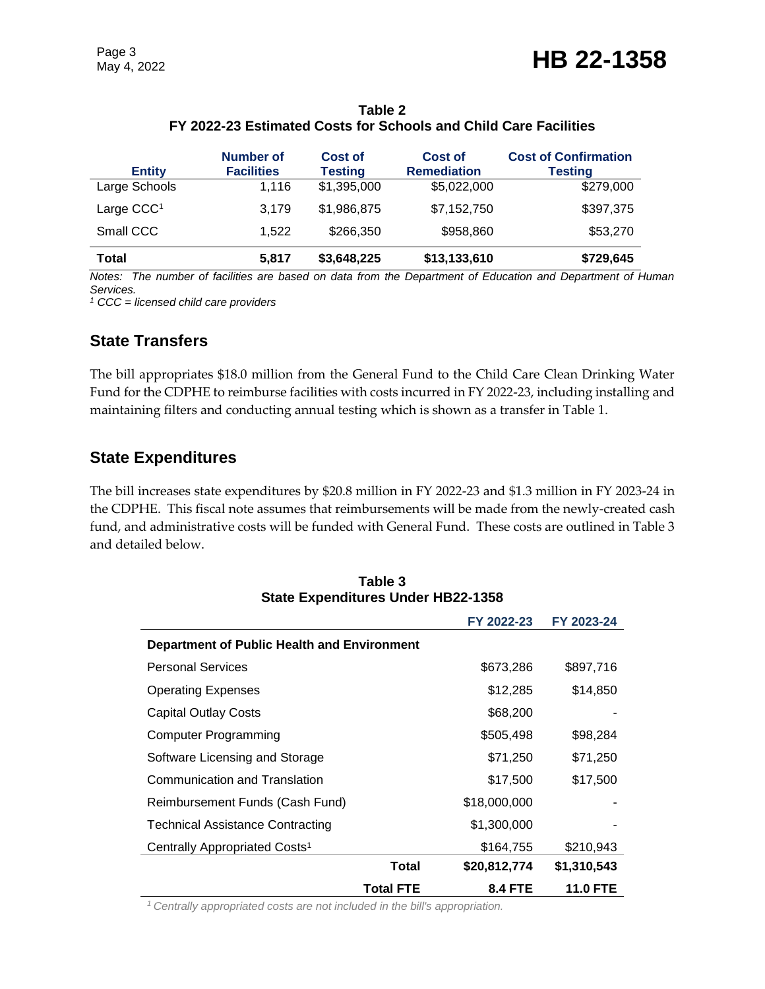| <b>Entity</b>          | Number of<br><b>Facilities</b> | Cost of<br><b>Testing</b> | <b>Cost of</b><br><b>Remediation</b> | <b>Cost of Confirmation</b><br><b>Testing</b> |
|------------------------|--------------------------------|---------------------------|--------------------------------------|-----------------------------------------------|
| Large Schools          | 1.116                          | \$1,395,000               | \$5,022,000                          | \$279,000                                     |
| Large CCC <sup>1</sup> | 3.179                          | \$1,986,875               | \$7,152,750                          | \$397,375                                     |
| Small CCC              | 1.522                          | \$266,350                 | \$958,860                            | \$53,270                                      |
| <b>Total</b>           | 5.817                          | \$3,648,225               | \$13,133,610                         | \$729,645                                     |

#### **Table 2 FY 2022-23 Estimated Costs for Schools and Child Care Facilities**

*Notes: The number of facilities are based on data from the Department of Education and Department of Human Services.* 

*<sup>1</sup> CCC = licensed child care providers*

#### **State Transfers**

The bill appropriates \$18.0 million from the General Fund to the Child Care Clean Drinking Water Fund for the CDPHE to reimburse facilities with costs incurred in FY 2022-23, including installing and maintaining filters and conducting annual testing which is shown as a transfer in Table 1.

#### **State Expenditures**

The bill increases state expenditures by \$20.8 million in FY 2022-23 and \$1.3 million in FY 2023-24 in the CDPHE. This fiscal note assumes that reimbursements will be made from the newly-created cash fund, and administrative costs will be funded with General Fund. These costs are outlined in Table 3 and detailed below.

|                                             |                  | FY 2022-23     | FY 2023-24      |
|---------------------------------------------|------------------|----------------|-----------------|
| Department of Public Health and Environment |                  |                |                 |
| <b>Personal Services</b>                    |                  | \$673,286      | \$897,716       |
| <b>Operating Expenses</b>                   |                  | \$12,285       | \$14,850        |
| Capital Outlay Costs                        |                  | \$68,200       |                 |
| Computer Programming                        |                  | \$505,498      | \$98,284        |
| Software Licensing and Storage              |                  | \$71,250       | \$71,250        |
| Communication and Translation               |                  | \$17,500       | \$17,500        |
| Reimbursement Funds (Cash Fund)             |                  | \$18,000,000   |                 |
| <b>Technical Assistance Contracting</b>     |                  | \$1,300,000    |                 |
| Centrally Appropriated Costs <sup>1</sup>   |                  | \$164,755      | \$210,943       |
|                                             | Total            | \$20,812,774   | \$1,310,543     |
|                                             | <b>Total FTE</b> | <b>8.4 FTE</b> | <b>11.0 FTE</b> |

#### **Table 3 State Expenditures Under HB22-1358**

*1 Centrally appropriated costs are not included in the bill's appropriation.*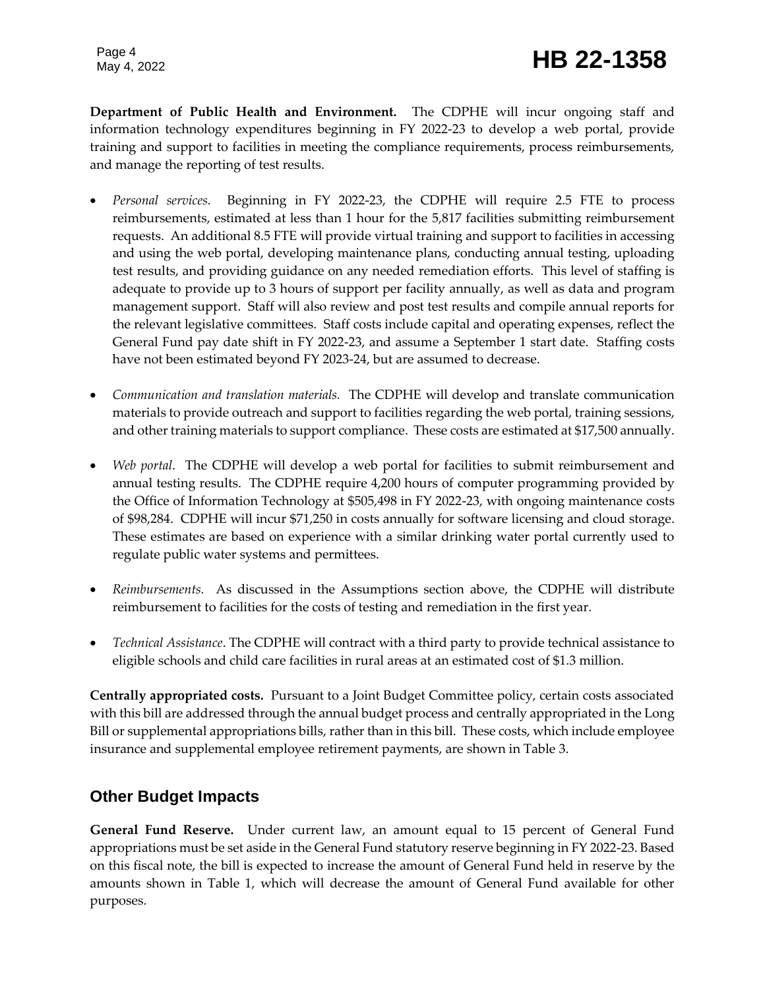Page 4

**Department of Public Health and Environment.** The CDPHE will incur ongoing staff and information technology expenditures beginning in FY 2022-23 to develop a web portal, provide training and support to facilities in meeting the compliance requirements, process reimbursements, and manage the reporting of test results.

- *Personal services.* Beginning in FY 2022-23, the CDPHE will require 2.5 FTE to process reimbursements, estimated at less than 1 hour for the 5,817 facilities submitting reimbursement requests. An additional 8.5 FTE will provide virtual training and support to facilities in accessing and using the web portal, developing maintenance plans, conducting annual testing, uploading test results, and providing guidance on any needed remediation efforts. This level of staffing is adequate to provide up to 3 hours of support per facility annually, as well as data and program management support. Staff will also review and post test results and compile annual reports for the relevant legislative committees. Staff costs include capital and operating expenses, reflect the General Fund pay date shift in FY 2022-23, and assume a September 1 start date. Staffing costs have not been estimated beyond FY 2023-24, but are assumed to decrease.
- *Communication and translation materials.* The CDPHE will develop and translate communication materials to provide outreach and support to facilities regarding the web portal, training sessions, and other training materials to support compliance. These costs are estimated at \$17,500 annually.
- *Web portal*. The CDPHE will develop a web portal for facilities to submit reimbursement and annual testing results. The CDPHE require 4,200 hours of computer programming provided by the Office of Information Technology at \$505,498 in FY 2022-23, with ongoing maintenance costs of \$98,284. CDPHE will incur \$71,250 in costs annually for software licensing and cloud storage. These estimates are based on experience with a similar drinking water portal currently used to regulate public water systems and permittees.
- *Reimbursements.* As discussed in the Assumptions section above, the CDPHE will distribute reimbursement to facilities for the costs of testing and remediation in the first year.
- *Technical Assistance*. The CDPHE will contract with a third party to provide technical assistance to eligible schools and child care facilities in rural areas at an estimated cost of \$1.3 million.

**Centrally appropriated costs.** Pursuant to a Joint Budget Committee policy, certain costs associated with this bill are addressed through the annual budget process and centrally appropriated in the Long Bill or supplemental appropriations bills, rather than in this bill. These costs, which include employee insurance and supplemental employee retirement payments, are shown in Table 3.

#### **Other Budget Impacts**

**General Fund Reserve.** Under current law, an amount equal to 15 percent of General Fund appropriations must be set aside in the General Fund statutory reserve beginning in FY 2022-23. Based on this fiscal note, the bill is expected to increase the amount of General Fund held in reserve by the amounts shown in Table 1, which will decrease the amount of General Fund available for other purposes.